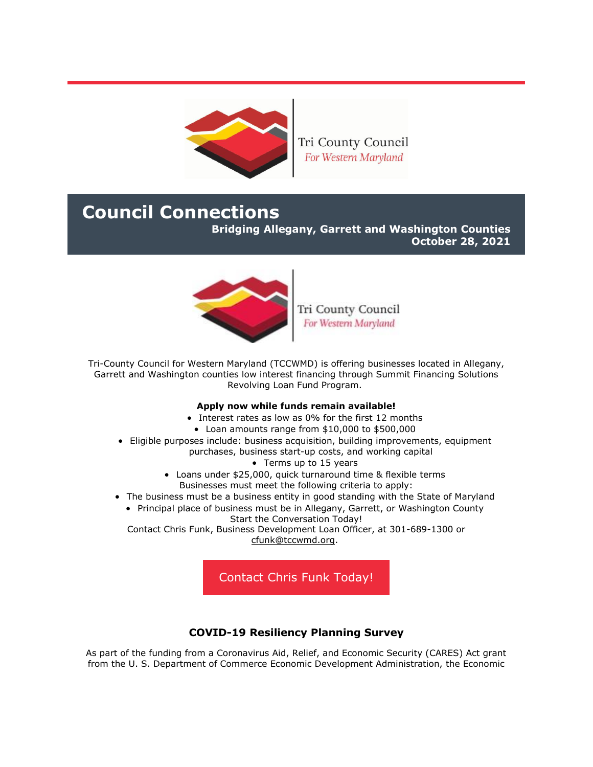

Tri County Council For Western Maryland

# **Council Connections**

**Bridging Allegany, Garrett and Washington Counties**

**October 28, 2021**



Tri County Council For Western Maryland

Tri-County Council for Western Maryland (TCCWMD) is offering businesses located in Allegany, Garrett and Washington counties low interest financing through Summit Financing Solutions Revolving Loan Fund Program.

## **Apply now while funds remain available!**

- Interest rates as low as 0% for the first 12 months
- Loan amounts range from \$10,000 to \$500,000
- Eligible purposes include: business acquisition, building improvements, equipment purchases, business start-up costs, and working capital
	- Terms up to 15 years
	- Loans under \$25,000, quick turnaround time & flexible terms Businesses must meet the following criteria to apply:
- The business must be a business entity in good standing with the State of Maryland • Principal place of business must be in Allegany, Garrett, or Washington County
	- Start the Conversation Today!

Contact Chris Funk, Business Development Loan Officer, at 301-689-1300 or [cfunk@tccwmd.org.](mailto:cfunk@tccwmd.org)

[Contact Chris Funk Today!](mailto:cfunk@tccwmd.org)

## **COVID-19 Resiliency Planning Survey**

As part of the funding from a Coronavirus Aid, Relief, and Economic Security (CARES) Act grant from the U. S. Department of Commerce Economic Development Administration, the Economic